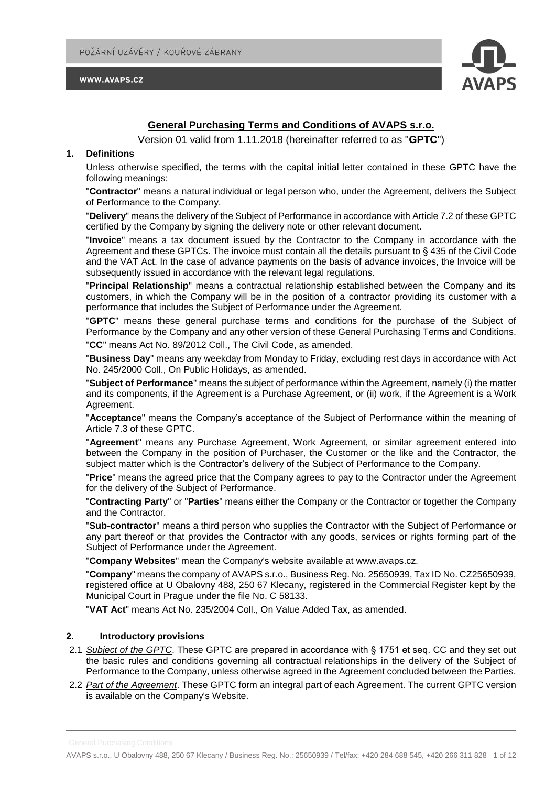



# **General Purchasing Terms and Conditions of AVAPS s.r.o.**

Version 01 valid from 1.11.2018 (hereinafter referred to as "**GPTC**")

### **1. Definitions**

Unless otherwise specified, the terms with the capital initial letter contained in these GPTC have the following meanings:

"**Contractor**" means a natural individual or legal person who, under the Agreement, delivers the Subject of Performance to the Company.

"**Delivery**" means the delivery of the Subject of Performance in accordance with Article 7.2 of these GPTC certified by the Company by signing the delivery note or other relevant document.

"**Invoice**" means a tax document issued by the Contractor to the Company in accordance with the Agreement and these GPTCs. The invoice must contain all the details pursuant to § 435 of the Civil Code and the VAT Act. In the case of advance payments on the basis of advance invoices, the Invoice will be subsequently issued in accordance with the relevant legal regulations.

"**Principal Relationship**" means a contractual relationship established between the Company and its customers, in which the Company will be in the position of a contractor providing its customer with a performance that includes the Subject of Performance under the Agreement.

"**GPTC**" means these general purchase terms and conditions for the purchase of the Subject of Performance by the Company and any other version of these General Purchasing Terms and Conditions. "**CC**" means Act No. 89/2012 Coll., The Civil Code, as amended.

"**Business Day**" means any weekday from Monday to Friday, excluding rest days in accordance with Act No. 245/2000 Coll., On Public Holidays, as amended.

"**Subject of Performance**" means the subject of performance within the Agreement, namely (i) the matter and its components, if the Agreement is a Purchase Agreement, or (ii) work, if the Agreement is a Work Agreement.

"**Acceptance**" means the Company's acceptance of the Subject of Performance within the meaning of Article 7.3 of these GPTC.

"**Agreement**" means any Purchase Agreement, Work Agreement, or similar agreement entered into between the Company in the position of Purchaser, the Customer or the like and the Contractor, the subject matter which is the Contractor's delivery of the Subject of Performance to the Company.

"**Price**" means the agreed price that the Company agrees to pay to the Contractor under the Agreement for the delivery of the Subject of Performance.

"**Contracting Party**" or "**Parties**" means either the Company or the Contractor or together the Company and the Contractor.

"**Sub-contractor**" means a third person who supplies the Contractor with the Subject of Performance or any part thereof or that provides the Contractor with any goods, services or rights forming part of the Subject of Performance under the Agreement.

"**Company Websites**" mean the Company's website available at www.avaps.cz.

"**Company**" means the company of AVAPS s.r.o., Business Reg. No. 25650939, Tax ID No. CZ25650939, registered office at U Obalovny 488, 250 67 Klecany, registered in the Commercial Register kept by the Municipal Court in Prague under the file No. C 58133.

"**VAT Act**" means Act No. 235/2004 Coll., On Value Added Tax, as amended.

#### **2. Introductory provisions**

- 2.1 *Subject of the GPTC*. These GPTC are prepared in accordance with § 1751 et seq. CC and they set out the basic rules and conditions governing all contractual relationships in the delivery of the Subject of Performance to the Company, unless otherwise agreed in the Agreement concluded between the Parties.
- 2.2 *Part of the Agreement*. These GPTC form an integral part of each Agreement. The current GPTC version is available on the Company's Website.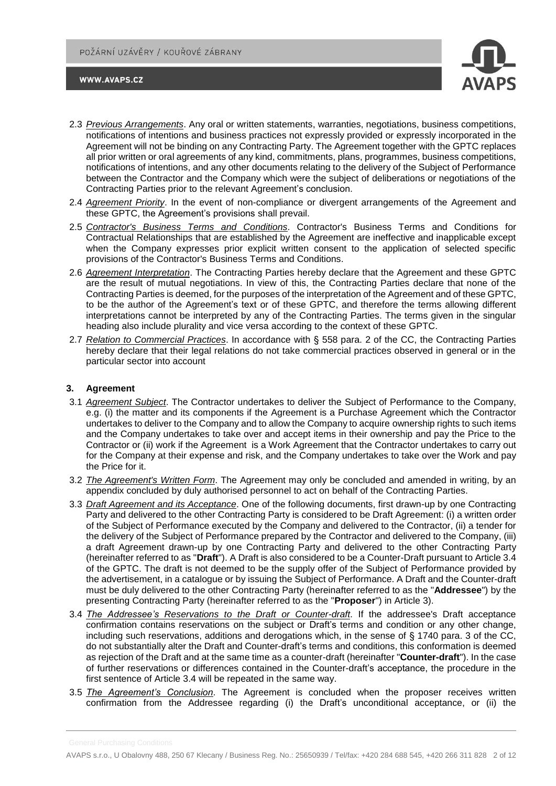

- 2.3 *Previous Arrangements*. Any oral or written statements, warranties, negotiations, business competitions, notifications of intentions and business practices not expressly provided or expressly incorporated in the Agreement will not be binding on any Contracting Party. The Agreement together with the GPTC replaces all prior written or oral agreements of any kind, commitments, plans, programmes, business competitions, notifications of intentions, and any other documents relating to the delivery of the Subject of Performance between the Contractor and the Company which were the subject of deliberations or negotiations of the Contracting Parties prior to the relevant Agreement's conclusion.
- 2.4 *Agreement Priority*. In the event of non-compliance or divergent arrangements of the Agreement and these GPTC, the Agreement's provisions shall prevail.
- 2.5 *Contractor's Business Terms and Conditions*. Contractor's Business Terms and Conditions for Contractual Relationships that are established by the Agreement are ineffective and inapplicable except when the Company expresses prior explicit written consent to the application of selected specific provisions of the Contractor's Business Terms and Conditions.
- 2.6 *Agreement Interpretation*. The Contracting Parties hereby declare that the Agreement and these GPTC are the result of mutual negotiations. In view of this, the Contracting Parties declare that none of the Contracting Parties is deemed, for the purposes of the interpretation of the Agreement and of these GPTC, to be the author of the Agreement's text or of these GPTC, and therefore the terms allowing different interpretations cannot be interpreted by any of the Contracting Parties. The terms given in the singular heading also include plurality and vice versa according to the context of these GPTC.
- 2.7 *Relation to Commercial Practices*. In accordance with § 558 para. 2 of the CC, the Contracting Parties hereby declare that their legal relations do not take commercial practices observed in general or in the particular sector into account

### **3. Agreement**

- 3.1 *Agreement Subject*. The Contractor undertakes to deliver the Subject of Performance to the Company, e.g. (i) the matter and its components if the Agreement is a Purchase Agreement which the Contractor undertakes to deliver to the Company and to allow the Company to acquire ownership rights to such items and the Company undertakes to take over and accept items in their ownership and pay the Price to the Contractor or (ii) work if the Agreement is a Work Agreement that the Contractor undertakes to carry out for the Company at their expense and risk, and the Company undertakes to take over the Work and pay the Price for it.
- 3.2 *The Agreement's Written Form*. The Agreement may only be concluded and amended in writing, by an appendix concluded by duly authorised personnel to act on behalf of the Contracting Parties.
- 3.3 *Draft Agreement and its Acceptance*. One of the following documents, first drawn-up by one Contracting Party and delivered to the other Contracting Party is considered to be Draft Agreement: (i) a written order of the Subject of Performance executed by the Company and delivered to the Contractor, (ii) a tender for the delivery of the Subject of Performance prepared by the Contractor and delivered to the Company, (iii) a draft Agreement drawn-up by one Contracting Party and delivered to the other Contracting Party (hereinafter referred to as "**Draft**"). A Draft is also considered to be a Counter-Draft pursuant to Article 3.4 of the GPTC. The draft is not deemed to be the supply offer of the Subject of Performance provided by the advertisement, in a catalogue or by issuing the Subject of Performance. A Draft and the Counter-draft must be duly delivered to the other Contracting Party (hereinafter referred to as the "**Addressee**") by the presenting Contracting Party (hereinafter referred to as the "**Proposer**") in Article 3).
- 3.4 *The Addressee's Reservations to the Draft or Counter-draft*. If the addressee's Draft acceptance confirmation contains reservations on the subject or Draft's terms and condition or any other change, including such reservations, additions and derogations which, in the sense of § 1740 para. 3 of the CC, do not substantially alter the Draft and Counter-draft's terms and conditions, this conformation is deemed as rejection of the Draft and at the same time as a counter-draft (hereinafter "**Counter-draft**"). In the case of further reservations or differences contained in the Counter-draft's acceptance, the procedure in the first sentence of Article 3.4 will be repeated in the same way.
- 3.5 *The Agreement's Conclusion*. The Agreement is concluded when the proposer receives written confirmation from the Addressee regarding (i) the Draft's unconditional acceptance, or (ii) the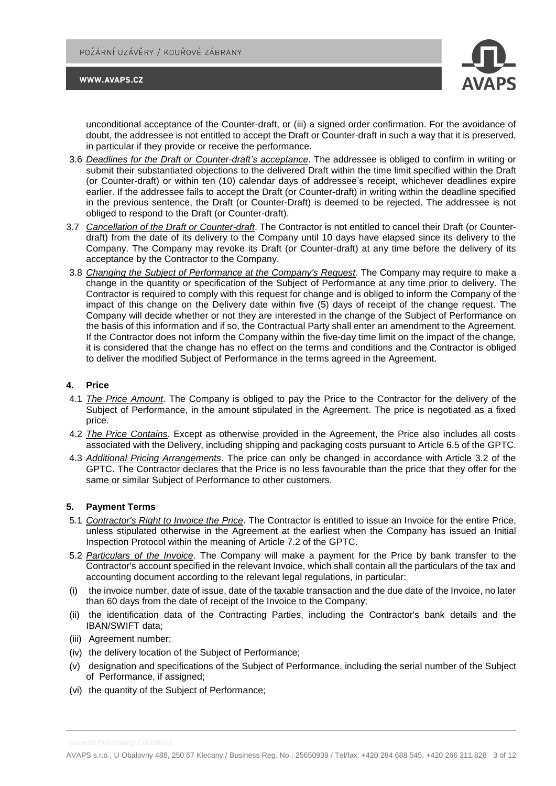



unconditional acceptance of the Counter-draft, or (iii) a signed order confirmation. For the avoidance of doubt, the addressee is not entitled to accept the Draft or Counter-draft in such a way that it is preserved, in particular if they provide or receive the performance.

- 3.6 *Deadlines for the Draft or Counter-draft's acceptance*. The addressee is obliged to confirm in writing or submit their substantiated objections to the delivered Draft within the time limit specified within the Draft (or Counter-draft) or within ten (10) calendar days of addressee's receipt, whichever deadlines expire earlier. If the addressee fails to accept the Draft (or Counter-draft) in writing within the deadline specified in the previous sentence, the Draft (or Counter-Draft) is deemed to be rejected. The addressee is not obliged to respond to the Draft (or Counter-draft).
- 3.7 *Cancellation of the Draft or Counter-draft*. The Contractor is not entitled to cancel their Draft (or Counterdraft) from the date of its delivery to the Company until 10 days have elapsed since its delivery to the Company. The Company may revoke its Draft (or Counter-draft) at any time before the delivery of its acceptance by the Contractor to the Company.
- 3.8 *Changing the Subject of Performance at the Company's Request*. The Company may require to make a change in the quantity or specification of the Subject of Performance at any time prior to delivery. The Contractor is required to comply with this request for change and is obliged to inform the Company of the impact of this change on the Delivery date within five (5) days of receipt of the change request. The Company will decide whether or not they are interested in the change of the Subject of Performance on the basis of this information and if so, the Contractual Party shall enter an amendment to the Agreement. If the Contractor does not inform the Company within the five-day time limit on the impact of the change, it is considered that the change has no effect on the terms and conditions and the Contractor is obliged to deliver the modified Subject of Performance in the terms agreed in the Agreement.

### **4. Price**

- 4.1 *The Price Amount*. The Company is obliged to pay the Price to the Contractor for the delivery of the Subject of Performance, in the amount stipulated in the Agreement. The price is negotiated as a fixed price.
- 4.2 *The Price Contains*. Except as otherwise provided in the Agreement, the Price also includes all costs associated with the Delivery, including shipping and packaging costs pursuant to Article 6.5 of the GPTC.
- 4.3 *Additional Pricing Arrangements*. The price can only be changed in accordance with Article 3.2 of the GPTC. The Contractor declares that the Price is no less favourable than the price that they offer for the same or similar Subject of Performance to other customers.

### **5. Payment Terms**

- 5.1 *Contractor's Right to Invoice the Price*. The Contractor is entitled to issue an Invoice for the entire Price, unless stipulated otherwise in the Agreement at the earliest when the Company has issued an Initial Inspection Protocol within the meaning of Article 7.2 of the GPTC.
- 5.2 *Particulars of the Invoice*. The Company will make a payment for the Price by bank transfer to the Contractor's account specified in the relevant Invoice, which shall contain all the particulars of the tax and accounting document according to the relevant legal regulations, in particular:
- (i) the invoice number, date of issue, date of the taxable transaction and the due date of the Invoice, no later than 60 days from the date of receipt of the Invoice to the Company;
- (ii) the identification data of the Contracting Parties, including the Contractor's bank details and the IBAN/SWIFT data;
- (iii) Agreement number;
- (iv) the delivery location of the Subject of Performance;
- (v) designation and specifications of the Subject of Performance, including the serial number of the Subject of Performance, if assigned;
- (vi) the quantity of the Subject of Performance;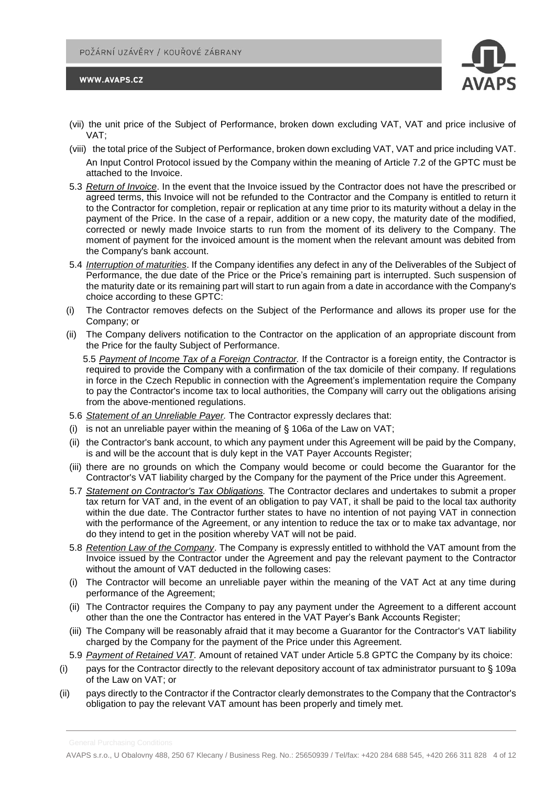

- (vii) the unit price of the Subject of Performance, broken down excluding VAT, VAT and price inclusive of VAT;
- (viii) the total price of the Subject of Performance, broken down excluding VAT, VAT and price including VAT. An Input Control Protocol issued by the Company within the meaning of Article 7.2 of the GPTC must be attached to the Invoice.
- 5.3 *Return of Invoice*. In the event that the Invoice issued by the Contractor does not have the prescribed or agreed terms, this Invoice will not be refunded to the Contractor and the Company is entitled to return it to the Contractor for completion, repair or replication at any time prior to its maturity without a delay in the payment of the Price. In the case of a repair, addition or a new copy, the maturity date of the modified, corrected or newly made Invoice starts to run from the moment of its delivery to the Company. The moment of payment for the invoiced amount is the moment when the relevant amount was debited from the Company's bank account.
- 5.4 *Interruption of maturities*. If the Company identifies any defect in any of the Deliverables of the Subject of Performance, the due date of the Price or the Price's remaining part is interrupted. Such suspension of the maturity date or its remaining part will start to run again from a date in accordance with the Company's choice according to these GPTC:
- (i) The Contractor removes defects on the Subject of the Performance and allows its proper use for the Company; or
- (ii) The Company delivers notification to the Contractor on the application of an appropriate discount from the Price for the faulty Subject of Performance.

5.5 *Payment of Income Tax of a Foreign Contractor.* If the Contractor is a foreign entity, the Contractor is required to provide the Company with a confirmation of the tax domicile of their company. If regulations in force in the Czech Republic in connection with the Agreement's implementation require the Company to pay the Contractor's income tax to local authorities, the Company will carry out the obligations arising from the above-mentioned regulations.

- 5.6 *Statement of an Unreliable Payer.* The Contractor expressly declares that:
- (i) is not an unreliable payer within the meaning of  $\S$  106a of the Law on VAT;
- (ii) the Contractor's bank account, to which any payment under this Agreement will be paid by the Company, is and will be the account that is duly kept in the VAT Payer Accounts Register;
- (iii) there are no grounds on which the Company would become or could become the Guarantor for the Contractor's VAT liability charged by the Company for the payment of the Price under this Agreement.
- 5.7 *Statement on Contractor's Tax Obligations.* The Contractor declares and undertakes to submit a proper tax return for VAT and, in the event of an obligation to pay VAT, it shall be paid to the local tax authority within the due date. The Contractor further states to have no intention of not paying VAT in connection with the performance of the Agreement, or any intention to reduce the tax or to make tax advantage, nor do they intend to get in the position whereby VAT will not be paid.
- 5.8 *Retention Law of the Company*. The Company is expressly entitled to withhold the VAT amount from the Invoice issued by the Contractor under the Agreement and pay the relevant payment to the Contractor without the amount of VAT deducted in the following cases:
- (i) The Contractor will become an unreliable payer within the meaning of the VAT Act at any time during performance of the Agreement;
- (ii) The Contractor requires the Company to pay any payment under the Agreement to a different account other than the one the Contractor has entered in the VAT Payer's Bank Accounts Register;
- (iii) The Company will be reasonably afraid that it may become a Guarantor for the Contractor's VAT liability charged by the Company for the payment of the Price under this Agreement.
- 5.9 *Payment of Retained VAT.* Amount of retained VAT under Article 5.8 GPTC the Company by its choice:
- (i) pays for the Contractor directly to the relevant depository account of tax administrator pursuant to § 109a of the Law on VAT; or
- (ii) pays directly to the Contractor if the Contractor clearly demonstrates to the Company that the Contractor's obligation to pay the relevant VAT amount has been properly and timely met.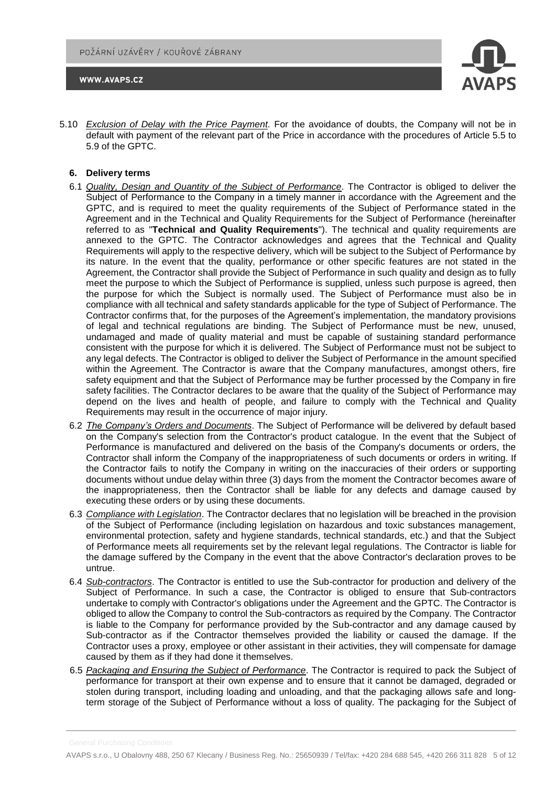



5.10 *Exclusion of Delay with the Price Payment.* For the avoidance of doubts, the Company will not be in default with payment of the relevant part of the Price in accordance with the procedures of Article 5.5 to 5.9 of the GPTC.

### **6. Delivery terms**

- 6.1 *Quality, Design and Quantity of the Subject of Performance*. The Contractor is obliged to deliver the Subject of Performance to the Company in a timely manner in accordance with the Agreement and the GPTC, and is required to meet the quality requirements of the Subject of Performance stated in the Agreement and in the Technical and Quality Requirements for the Subject of Performance (hereinafter referred to as "**Technical and Quality Requirements**"). The technical and quality requirements are annexed to the GPTC. The Contractor acknowledges and agrees that the Technical and Quality Requirements will apply to the respective delivery, which will be subject to the Subject of Performance by its nature. In the event that the quality, performance or other specific features are not stated in the Agreement, the Contractor shall provide the Subject of Performance in such quality and design as to fully meet the purpose to which the Subject of Performance is supplied, unless such purpose is agreed, then the purpose for which the Subject is normally used. The Subject of Performance must also be in compliance with all technical and safety standards applicable for the type of Subject of Performance. The Contractor confirms that, for the purposes of the Agreement's implementation, the mandatory provisions of legal and technical regulations are binding. The Subject of Performance must be new, unused, undamaged and made of quality material and must be capable of sustaining standard performance consistent with the purpose for which it is delivered. The Subject of Performance must not be subject to any legal defects. The Contractor is obliged to deliver the Subject of Performance in the amount specified within the Agreement. The Contractor is aware that the Company manufactures, amongst others, fire safety equipment and that the Subject of Performance may be further processed by the Company in fire safety facilities. The Contractor declares to be aware that the quality of the Subject of Performance may depend on the lives and health of people, and failure to comply with the Technical and Quality Requirements may result in the occurrence of major injury.
- 6.2 *The Company's Orders and Documents*. The Subject of Performance will be delivered by default based on the Company's selection from the Contractor's product catalogue. In the event that the Subject of Performance is manufactured and delivered on the basis of the Company's documents or orders, the Contractor shall inform the Company of the inappropriateness of such documents or orders in writing. If the Contractor fails to notify the Company in writing on the inaccuracies of their orders or supporting documents without undue delay within three (3) days from the moment the Contractor becomes aware of the inappropriateness, then the Contractor shall be liable for any defects and damage caused by executing these orders or by using these documents.
- 6.3 *Compliance with Legislation*. The Contractor declares that no legislation will be breached in the provision of the Subject of Performance (including legislation on hazardous and toxic substances management, environmental protection, safety and hygiene standards, technical standards, etc.) and that the Subject of Performance meets all requirements set by the relevant legal regulations. The Contractor is liable for the damage suffered by the Company in the event that the above Contractor's declaration proves to be untrue.
- 6.4 *Sub-contractors*. The Contractor is entitled to use the Sub-contractor for production and delivery of the Subject of Performance. In such a case, the Contractor is obliged to ensure that Sub-contractors undertake to comply with Contractor's obligations under the Agreement and the GPTC. The Contractor is obliged to allow the Company to control the Sub-contractors as required by the Company. The Contractor is liable to the Company for performance provided by the Sub-contractor and any damage caused by Sub-contractor as if the Contractor themselves provided the liability or caused the damage. If the Contractor uses a proxy, employee or other assistant in their activities, they will compensate for damage caused by them as if they had done it themselves.
- 6.5 *Packaging and Ensuring the Subject of Performance*. The Contractor is required to pack the Subject of performance for transport at their own expense and to ensure that it cannot be damaged, degraded or stolen during transport, including loading and unloading, and that the packaging allows safe and longterm storage of the Subject of Performance without a loss of quality. The packaging for the Subject of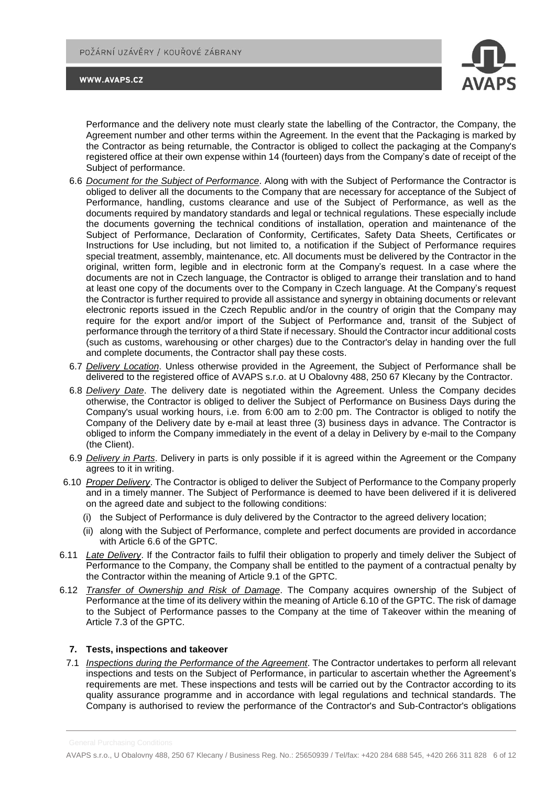

Performance and the delivery note must clearly state the labelling of the Contractor, the Company, the Agreement number and other terms within the Agreement. In the event that the Packaging is marked by the Contractor as being returnable, the Contractor is obliged to collect the packaging at the Company's registered office at their own expense within 14 (fourteen) days from the Company's date of receipt of the Subject of performance.

- 6.6 *Document for the Subject of Performance*. Along with with the Subject of Performance the Contractor is obliged to deliver all the documents to the Company that are necessary for acceptance of the Subject of Performance, handling, customs clearance and use of the Subject of Performance, as well as the documents required by mandatory standards and legal or technical regulations. These especially include the documents governing the technical conditions of installation, operation and maintenance of the Subject of Performance, Declaration of Conformity, Certificates, Safety Data Sheets, Certificates or Instructions for Use including, but not limited to, a notification if the Subject of Performance requires special treatment, assembly, maintenance, etc. All documents must be delivered by the Contractor in the original, written form, legible and in electronic form at the Company's request. In a case where the documents are not in Czech language, the Contractor is obliged to arrange their translation and to hand at least one copy of the documents over to the Company in Czech language. At the Company's request the Contractor is further required to provide all assistance and synergy in obtaining documents or relevant electronic reports issued in the Czech Republic and/or in the country of origin that the Company may require for the export and/or import of the Subject of Performance and, transit of the Subject of performance through the territory of a third State if necessary. Should the Contractor incur additional costs (such as customs, warehousing or other charges) due to the Contractor's delay in handing over the full and complete documents, the Contractor shall pay these costs.
- 6.7 *Delivery Location*. Unless otherwise provided in the Agreement, the Subject of Performance shall be delivered to the registered office of AVAPS s.r.o. at U Obalovny 488, 250 67 Klecany by the Contractor.
- 6.8 *Delivery Date*. The delivery date is negotiated within the Agreement. Unless the Company decides otherwise, the Contractor is obliged to deliver the Subject of Performance on Business Days during the Company's usual working hours, i.e. from 6:00 am to 2:00 pm. The Contractor is obliged to notify the Company of the Delivery date by e-mail at least three (3) business days in advance. The Contractor is obliged to inform the Company immediately in the event of a delay in Delivery by e-mail to the Company (the Client).
- 6.9 *Delivery in Parts*. Delivery in parts is only possible if it is agreed within the Agreement or the Company agrees to it in writing.
- 6.10 *Proper Delivery*. The Contractor is obliged to deliver the Subject of Performance to the Company properly and in a timely manner. The Subject of Performance is deemed to have been delivered if it is delivered on the agreed date and subject to the following conditions:
	- (i) the Subject of Performance is duly delivered by the Contractor to the agreed delivery location;
	- (ii) along with the Subject of Performance, complete and perfect documents are provided in accordance with Article 6.6 of the GPTC.
- 6.11 *Late Delivery*. If the Contractor fails to fulfil their obligation to properly and timely deliver the Subject of Performance to the Company, the Company shall be entitled to the payment of a contractual penalty by the Contractor within the meaning of Article 9.1 of the GPTC.
- 6.12 *Transfer of Ownership and Risk of Damage*. The Company acquires ownership of the Subject of Performance at the time of its delivery within the meaning of Article 6.10 of the GPTC. The risk of damage to the Subject of Performance passes to the Company at the time of Takeover within the meaning of Article 7.3 of the GPTC.

### **7. Tests, inspections and takeover**

7.1 *Inspections during the Performance of the Agreement*. The Contractor undertakes to perform all relevant inspections and tests on the Subject of Performance, in particular to ascertain whether the Agreement's requirements are met. These inspections and tests will be carried out by the Contractor according to its quality assurance programme and in accordance with legal regulations and technical standards. The Company is authorised to review the performance of the Contractor's and Sub-Contractor's obligations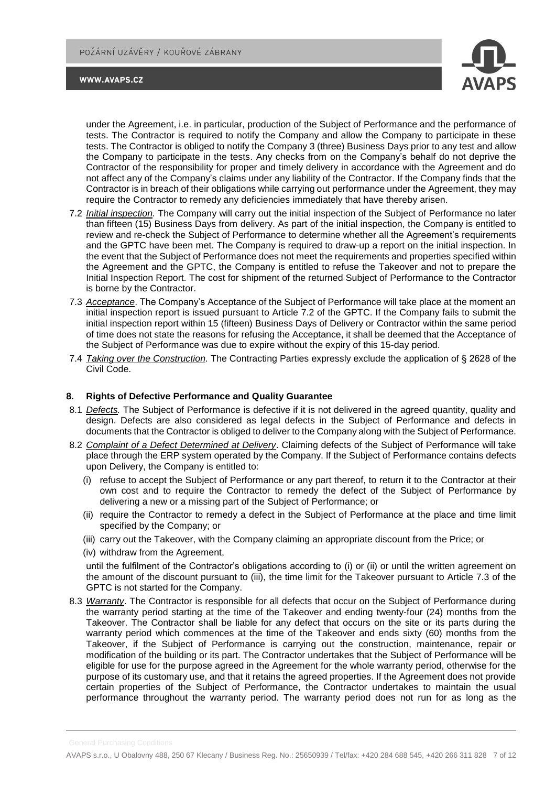

under the Agreement, i.e. in particular, production of the Subject of Performance and the performance of tests. The Contractor is required to notify the Company and allow the Company to participate in these tests. The Contractor is obliged to notify the Company 3 (three) Business Days prior to any test and allow the Company to participate in the tests. Any checks from on the Company's behalf do not deprive the Contractor of the responsibility for proper and timely delivery in accordance with the Agreement and do not affect any of the Company's claims under any liability of the Contractor. If the Company finds that the Contractor is in breach of their obligations while carrying out performance under the Agreement, they may require the Contractor to remedy any deficiencies immediately that have thereby arisen.

- 7.2 *Initial inspection.* The Company will carry out the initial inspection of the Subject of Performance no later than fifteen (15) Business Days from delivery. As part of the initial inspection, the Company is entitled to review and re-check the Subject of Performance to determine whether all the Agreement's requirements and the GPTC have been met. The Company is required to draw-up a report on the initial inspection. In the event that the Subject of Performance does not meet the requirements and properties specified within the Agreement and the GPTC, the Company is entitled to refuse the Takeover and not to prepare the Initial Inspection Report. The cost for shipment of the returned Subject of Performance to the Contractor is borne by the Contractor.
- 7.3 *Acceptance*. The Company's Acceptance of the Subject of Performance will take place at the moment an initial inspection report is issued pursuant to Article 7.2 of the GPTC. If the Company fails to submit the initial inspection report within 15 (fifteen) Business Days of Delivery or Contractor within the same period of time does not state the reasons for refusing the Acceptance, it shall be deemed that the Acceptance of the Subject of Performance was due to expire without the expiry of this 15-day period.
- 7.4 *Taking over the Construction.* The Contracting Parties expressly exclude the application of § 2628 of the Civil Code.

### **8. Rights of Defective Performance and Quality Guarantee**

- 8.1 *Defects.* The Subject of Performance is defective if it is not delivered in the agreed quantity, quality and design. Defects are also considered as legal defects in the Subject of Performance and defects in documents that the Contractor is obliged to deliver to the Company along with the Subject of Performance.
- 8.2 *Complaint of a Defect Determined at Delivery*. Claiming defects of the Subject of Performance will take place through the ERP system operated by the Company. If the Subject of Performance contains defects upon Delivery, the Company is entitled to:
	- (i) refuse to accept the Subject of Performance or any part thereof, to return it to the Contractor at their own cost and to require the Contractor to remedy the defect of the Subject of Performance by delivering a new or a missing part of the Subject of Performance; or
	- (ii) require the Contractor to remedy a defect in the Subject of Performance at the place and time limit specified by the Company; or
	- (iii) carry out the Takeover, with the Company claiming an appropriate discount from the Price; or
	- (iv) withdraw from the Agreement,

until the fulfilment of the Contractor's obligations according to (i) or (ii) or until the written agreement on the amount of the discount pursuant to (iii), the time limit for the Takeover pursuant to Article 7.3 of the GPTC is not started for the Company.

8.3 *Warranty*. The Contractor is responsible for all defects that occur on the Subject of Performance during the warranty period starting at the time of the Takeover and ending twenty-four (24) months from the Takeover. The Contractor shall be liable for any defect that occurs on the site or its parts during the warranty period which commences at the time of the Takeover and ends sixty (60) months from the Takeover, if the Subject of Performance is carrying out the construction, maintenance, repair or modification of the building or its part. The Contractor undertakes that the Subject of Performance will be eligible for use for the purpose agreed in the Agreement for the whole warranty period, otherwise for the purpose of its customary use, and that it retains the agreed properties. If the Agreement does not provide certain properties of the Subject of Performance, the Contractor undertakes to maintain the usual performance throughout the warranty period. The warranty period does not run for as long as the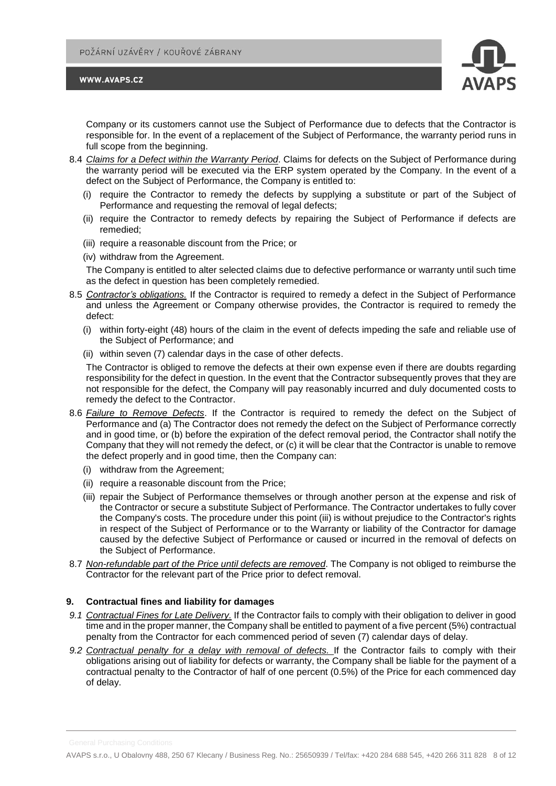



Company or its customers cannot use the Subject of Performance due to defects that the Contractor is responsible for. In the event of a replacement of the Subject of Performance, the warranty period runs in full scope from the beginning.

- 8.4 *Claims for a Defect within the Warranty Period*. Claims for defects on the Subject of Performance during the warranty period will be executed via the ERP system operated by the Company. In the event of a defect on the Subject of Performance, the Company is entitled to:
	- (i) require the Contractor to remedy the defects by supplying a substitute or part of the Subject of Performance and requesting the removal of legal defects;
	- (ii) require the Contractor to remedy defects by repairing the Subject of Performance if defects are remedied;
	- (iii) require a reasonable discount from the Price; or
	- (iv) withdraw from the Agreement.

The Company is entitled to alter selected claims due to defective performance or warranty until such time as the defect in question has been completely remedied.

- 8.5 *Contractor's obligations.* If the Contractor is required to remedy a defect in the Subject of Performance and unless the Agreement or Company otherwise provides, the Contractor is required to remedy the defect:
	- (i) within forty-eight (48) hours of the claim in the event of defects impeding the safe and reliable use of the Subject of Performance; and
	- (ii) within seven (7) calendar days in the case of other defects.

The Contractor is obliged to remove the defects at their own expense even if there are doubts regarding responsibility for the defect in question. In the event that the Contractor subsequently proves that they are not responsible for the defect, the Company will pay reasonably incurred and duly documented costs to remedy the defect to the Contractor.

- 8.6 *Failure to Remove Defects*. If the Contractor is required to remedy the defect on the Subject of Performance and (a) The Contractor does not remedy the defect on the Subject of Performance correctly and in good time, or (b) before the expiration of the defect removal period, the Contractor shall notify the Company that they will not remedy the defect, or (c) it will be clear that the Contractor is unable to remove the defect properly and in good time, then the Company can:
	- (i) withdraw from the Agreement;
	- (ii) require a reasonable discount from the Price;
	- (iii) repair the Subject of Performance themselves or through another person at the expense and risk of the Contractor or secure a substitute Subject of Performance. The Contractor undertakes to fully cover the Company's costs. The procedure under this point (iii) is without prejudice to the Contractor's rights in respect of the Subject of Performance or to the Warranty or liability of the Contractor for damage caused by the defective Subject of Performance or caused or incurred in the removal of defects on the Subject of Performance.
- 8.7 *Non-refundable part of the Price until defects are removed*. The Company is not obliged to reimburse the Contractor for the relevant part of the Price prior to defect removal.

### **9. Contractual fines and liability for damages**

- *9.1 Contractual Fines for Late Delivery.* If the Contractor fails to comply with their obligation to deliver in good time and in the proper manner, the Company shall be entitled to payment of a five percent (5%) contractual penalty from the Contractor for each commenced period of seven (7) calendar days of delay.
- *9.2 Contractual penalty for a delay with removal of defects.* If the Contractor fails to comply with their obligations arising out of liability for defects or warranty, the Company shall be liable for the payment of a contractual penalty to the Contractor of half of one percent (0.5%) of the Price for each commenced day of delay.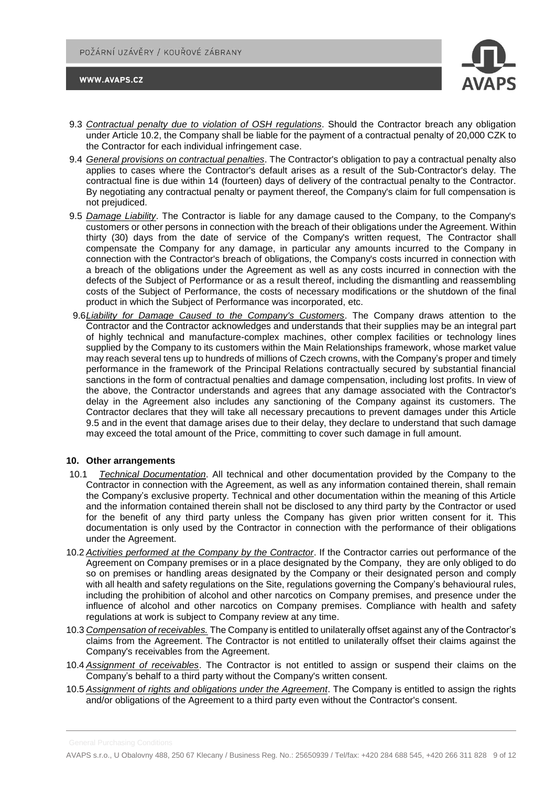

- 9.3 *Contractual penalty due to violation of OSH regulations*. Should the Contractor breach any obligation under Article 10.2, the Company shall be liable for the payment of a contractual penalty of 20,000 CZK to the Contractor for each individual infringement case.
- 9.4 *General provisions on contractual penalties*. The Contractor's obligation to pay a contractual penalty also applies to cases where the Contractor's default arises as a result of the Sub-Contractor's delay. The contractual fine is due within 14 (fourteen) days of delivery of the contractual penalty to the Contractor. By negotiating any contractual penalty or payment thereof, the Company's claim for full compensation is not prejudiced.
- 9.5 *Damage Liability*. The Contractor is liable for any damage caused to the Company, to the Company's customers or other persons in connection with the breach of their obligations under the Agreement. Within thirty (30) days from the date of service of the Company's written request, The Contractor shall compensate the Company for any damage, in particular any amounts incurred to the Company in connection with the Contractor's breach of obligations, the Company's costs incurred in connection with a breach of the obligations under the Agreement as well as any costs incurred in connection with the defects of the Subject of Performance or as a result thereof, including the dismantling and reassembling costs of the Subject of Performance, the costs of necessary modifications or the shutdown of the final product in which the Subject of Performance was incorporated, etc.
- 9.6*Liability for Damage Caused to the Company's Customers*. The Company draws attention to the Contractor and the Contractor acknowledges and understands that their supplies may be an integral part of highly technical and manufacture-complex machines, other complex facilities or technology lines supplied by the Company to its customers within the Main Relationships framework, whose market value may reach several tens up to hundreds of millions of Czech crowns, with the Company's proper and timely performance in the framework of the Principal Relations contractually secured by substantial financial sanctions in the form of contractual penalties and damage compensation, including lost profits. In view of the above, the Contractor understands and agrees that any damage associated with the Contractor's delay in the Agreement also includes any sanctioning of the Company against its customers. The Contractor declares that they will take all necessary precautions to prevent damages under this Article 9.5 and in the event that damage arises due to their delay, they declare to understand that such damage may exceed the total amount of the Price, committing to cover such damage in full amount.

#### **10. Other arrangements**

- 10.1 *Technical Documentation*. All technical and other documentation provided by the Company to the Contractor in connection with the Agreement, as well as any information contained therein, shall remain the Company's exclusive property. Technical and other documentation within the meaning of this Article and the information contained therein shall not be disclosed to any third party by the Contractor or used for the benefit of any third party unless the Company has given prior written consent for it. This documentation is only used by the Contractor in connection with the performance of their obligations under the Agreement.
- 10.2 *Activities performed at the Company by the Contractor*. If the Contractor carries out performance of the Agreement on Company premises or in a place designated by the Company, they are only obliged to do so on premises or handling areas designated by the Company or their designated person and comply with all health and safety regulations on the Site, regulations governing the Company's behavioural rules, including the prohibition of alcohol and other narcotics on Company premises, and presence under the influence of alcohol and other narcotics on Company premises. Compliance with health and safety regulations at work is subject to Company review at any time.
- 10.3 *Compensation of receivables.* The Company is entitled to unilaterally offset against any of the Contractor's claims from the Agreement. The Contractor is not entitled to unilaterally offset their claims against the Company's receivables from the Agreement.
- 10.4 *Assignment of receivables*. The Contractor is not entitled to assign or suspend their claims on the Company's behalf to a third party without the Company's written consent.
- 10.5 *Assignment of rights and obligations under the Agreement*. The Company is entitled to assign the rights and/or obligations of the Agreement to a third party even without the Contractor's consent.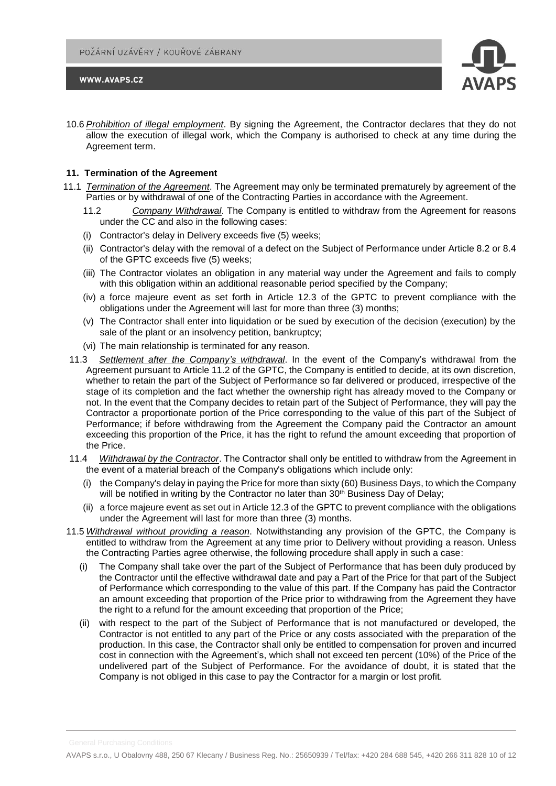

10.6 *Prohibition of illegal employment*. By signing the Agreement, the Contractor declares that they do not allow the execution of illegal work, which the Company is authorised to check at any time during the Agreement term.

# **11. Termination of the Agreement**

- 11.1 *Termination of the Agreement*. The Agreement may only be terminated prematurely by agreement of the Parties or by withdrawal of one of the Contracting Parties in accordance with the Agreement.
	- 11.2 *Company Withdrawal*. The Company is entitled to withdraw from the Agreement for reasons under the CC and also in the following cases:
	- (i) Contractor's delay in Delivery exceeds five (5) weeks;
	- (ii) Contractor's delay with the removal of a defect on the Subject of Performance under Article 8.2 or 8.4 of the GPTC exceeds five (5) weeks;
	- (iii) The Contractor violates an obligation in any material way under the Agreement and fails to comply with this obligation within an additional reasonable period specified by the Company;
	- (iv) a force majeure event as set forth in Article 12.3 of the GPTC to prevent compliance with the obligations under the Agreement will last for more than three (3) months;
	- (v) The Contractor shall enter into liquidation or be sued by execution of the decision (execution) by the sale of the plant or an insolvency petition, bankruptcy;
	- (vi) The main relationship is terminated for any reason.
	- 11.3 *Settlement after the Company's withdrawal*. In the event of the Company's withdrawal from the Agreement pursuant to Article 11.2 of the GPTC, the Company is entitled to decide, at its own discretion, whether to retain the part of the Subject of Performance so far delivered or produced, irrespective of the stage of its completion and the fact whether the ownership right has already moved to the Company or not. In the event that the Company decides to retain part of the Subject of Performance, they will pay the Contractor a proportionate portion of the Price corresponding to the value of this part of the Subject of Performance; if before withdrawing from the Agreement the Company paid the Contractor an amount exceeding this proportion of the Price, it has the right to refund the amount exceeding that proportion of the Price.
	- 11.4 *Withdrawal by the Contractor*. The Contractor shall only be entitled to withdraw from the Agreement in the event of a material breach of the Company's obligations which include only:
		- (i) the Company's delay in paying the Price for more than sixty (60) Business Days, to which the Company will be notified in writing by the Contractor no later than 30<sup>th</sup> Business Day of Delay;
		- (ii) a force majeure event as set out in Article 12.3 of the GPTC to prevent compliance with the obligations under the Agreement will last for more than three (3) months.
- 11.5 *Withdrawal without providing a reason*. Notwithstanding any provision of the GPTC, the Company is entitled to withdraw from the Agreement at any time prior to Delivery without providing a reason. Unless the Contracting Parties agree otherwise, the following procedure shall apply in such a case:
	- (i) The Company shall take over the part of the Subject of Performance that has been duly produced by the Contractor until the effective withdrawal date and pay a Part of the Price for that part of the Subject of Performance which corresponding to the value of this part. If the Company has paid the Contractor an amount exceeding that proportion of the Price prior to withdrawing from the Agreement they have the right to a refund for the amount exceeding that proportion of the Price;
	- (ii) with respect to the part of the Subject of Performance that is not manufactured or developed, the Contractor is not entitled to any part of the Price or any costs associated with the preparation of the production. In this case, the Contractor shall only be entitled to compensation for proven and incurred cost in connection with the Agreement's, which shall not exceed ten percent (10%) of the Price of the undelivered part of the Subject of Performance. For the avoidance of doubt, it is stated that the Company is not obliged in this case to pay the Contractor for a margin or lost profit.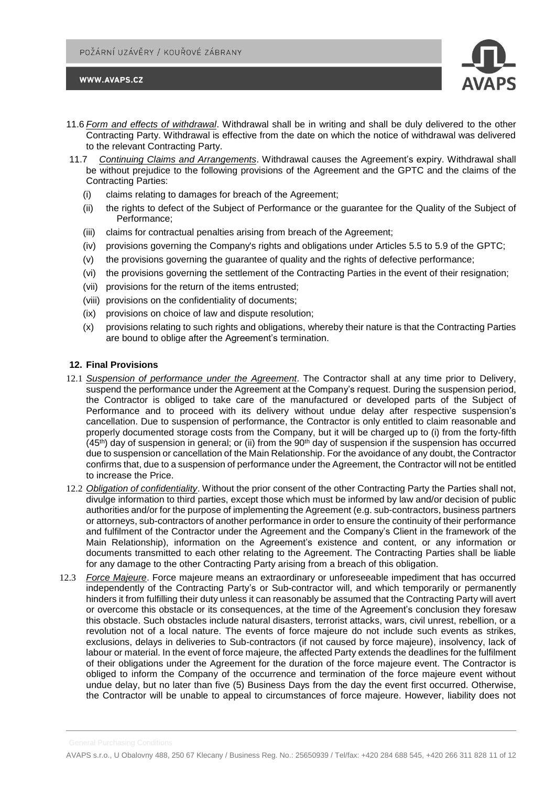

- 11.6 *Form and effects of withdrawal*. Withdrawal shall be in writing and shall be duly delivered to the other Contracting Party. Withdrawal is effective from the date on which the notice of withdrawal was delivered to the relevant Contracting Party.
- 11.7 *Continuing Claims and Arrangements*. Withdrawal causes the Agreement's expiry. Withdrawal shall be without prejudice to the following provisions of the Agreement and the GPTC and the claims of the Contracting Parties:
	- (i) claims relating to damages for breach of the Agreement;
	- (ii) the rights to defect of the Subject of Performance or the guarantee for the Quality of the Subject of Performance;
	- (iii) claims for contractual penalties arising from breach of the Agreement;
	- (iv) provisions governing the Company's rights and obligations under Articles 5.5 to 5.9 of the GPTC;
	- (v) the provisions governing the guarantee of quality and the rights of defective performance;
	- (vi) the provisions governing the settlement of the Contracting Parties in the event of their resignation;
	- (vii) provisions for the return of the items entrusted;
	- (viii) provisions on the confidentiality of documents;
	- (ix) provisions on choice of law and dispute resolution;
	- (x) provisions relating to such rights and obligations, whereby their nature is that the Contracting Parties are bound to oblige after the Agreement's termination.

# **12. Final Provisions**

- 12.1 *Suspension of performance under the Agreement*. The Contractor shall at any time prior to Delivery, suspend the performance under the Agreement at the Company's request. During the suspension period, the Contractor is obliged to take care of the manufactured or developed parts of the Subject of Performance and to proceed with its delivery without undue delay after respective suspension's cancellation. Due to suspension of performance, the Contractor is only entitled to claim reasonable and properly documented storage costs from the Company, but it will be charged up to (i) from the forty-fifth  $(45<sup>th</sup>)$  day of suspension in general; or (ii) from the 90<sup>th</sup> day of suspension if the suspension has occurred due to suspension or cancellation of the Main Relationship. For the avoidance of any doubt, the Contractor confirms that, due to a suspension of performance under the Agreement, the Contractor will not be entitled to increase the Price.
- 12.2 *Obligation of confidentiality*. Without the prior consent of the other Contracting Party the Parties shall not, divulge information to third parties, except those which must be informed by law and/or decision of public authorities and/or for the purpose of implementing the Agreement (e.g. sub-contractors, business partners or attorneys, sub-contractors of another performance in order to ensure the continuity of their performance and fulfilment of the Contractor under the Agreement and the Company's Client in the framework of the Main Relationship), information on the Agreement's existence and content, or any information or documents transmitted to each other relating to the Agreement. The Contracting Parties shall be liable for any damage to the other Contracting Party arising from a breach of this obligation.
- 12.3 *Force Majeure*. Force majeure means an extraordinary or unforeseeable impediment that has occurred independently of the Contracting Party's or Sub-contractor will, and which temporarily or permanently hinders it from fulfilling their duty unless it can reasonably be assumed that the Contracting Party will avert or overcome this obstacle or its consequences, at the time of the Agreement's conclusion they foresaw this obstacle. Such obstacles include natural disasters, terrorist attacks, wars, civil unrest, rebellion, or a revolution not of a local nature. The events of force majeure do not include such events as strikes, exclusions, delays in deliveries to Sub-contractors (if not caused by force majeure), insolvency, lack of labour or material. In the event of force majeure, the affected Party extends the deadlines for the fulfilment of their obligations under the Agreement for the duration of the force majeure event. The Contractor is obliged to inform the Company of the occurrence and termination of the force majeure event without undue delay, but no later than five (5) Business Days from the day the event first occurred. Otherwise, the Contractor will be unable to appeal to circumstances of force majeure. However, liability does not